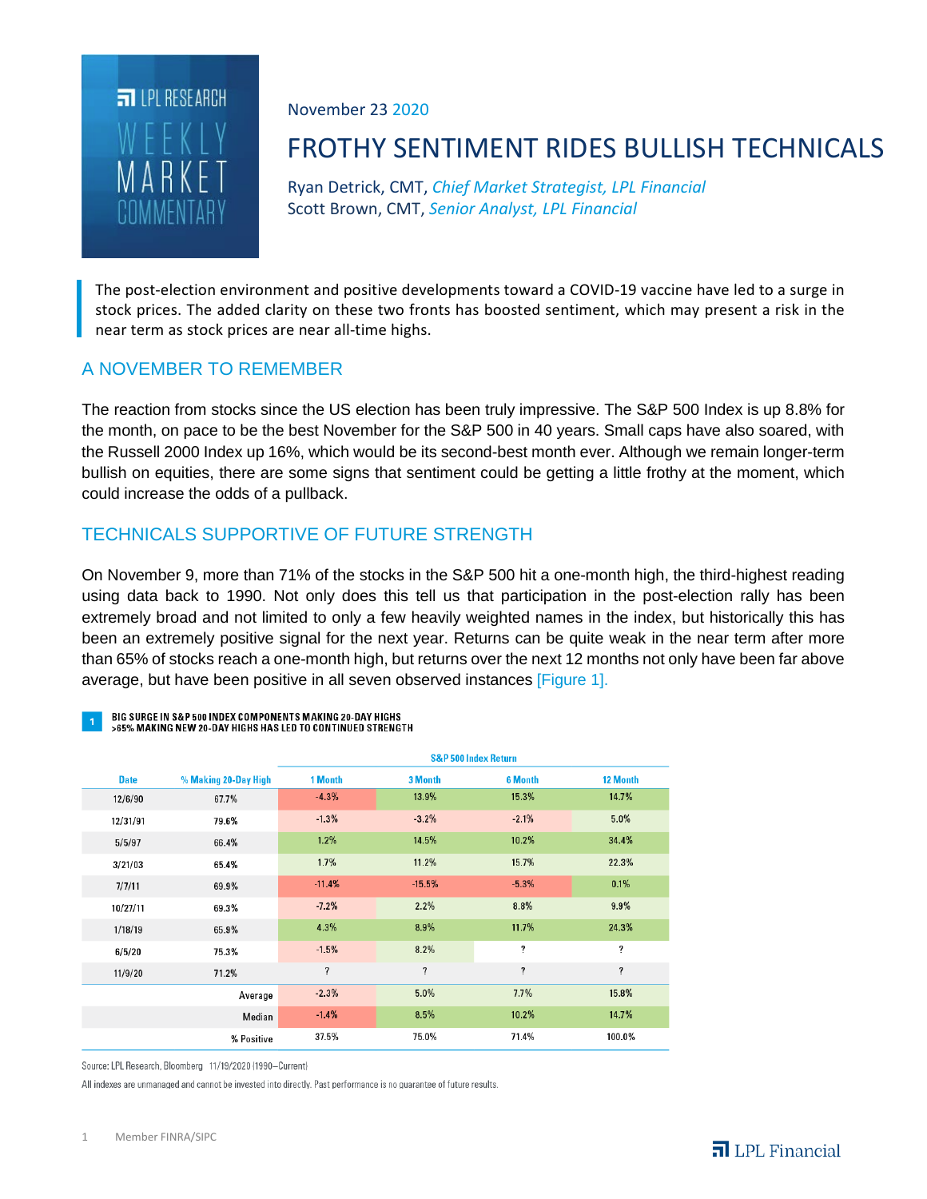

November 23 2020

# FROTHY SENTIMENT RIDES BULLISH TECHNICALS

Ryan Detrick, CMT, *Chief Market Strategist, LPL Financial* Scott Brown, CMT, *Senior Analyst, LPL Financial*

The post-election environment and positive developments toward a COVID-19 vaccine have led to a surge in stock prices. The added clarity on these two fronts has boosted sentiment, which may present a risk in the near term as stock prices are near all-time highs.

#### A NOVEMBER TO REMEMBER

The reaction from stocks since the US election has been truly impressive. The S&P 500 Index is up 8.8% for the month, on pace to be the best November for the S&P 500 in 40 years. Small caps have also soared, with the Russell 2000 Index up 16%, which would be its second-best month ever. Although we remain longer-term bullish on equities, there are some signs that sentiment could be getting a little frothy at the moment, which could increase the odds of a pullback.

## TECHNICALS SUPPORTIVE OF FUTURE STRENGTH

On November 9, more than 71% of the stocks in the S&P 500 hit a one-month high, the third-highest reading using data back to 1990. Not only does this tell us that participation in the post-election rally has been extremely broad and not limited to only a few heavily weighted names in the index, but historically this has been an extremely positive signal for the next year. Returns can be quite weak in the near term after more than 65% of stocks reach a one-month high, but returns over the next 12 months not only have been far above average, but have been positive in all seven observed instances [Figure 1].

BIG SURGE IN S&P 500 INDEX COMPONENTS MAKING 20-DAY HIGHS >65% MAKING NEW 20-DAY HIGHS HAS LED TO CONTINUED STRENGTH

|             |                      | <b>S&amp;P 500 Index Return</b> |                          |                |          |
|-------------|----------------------|---------------------------------|--------------------------|----------------|----------|
| <b>Date</b> | % Making 20-Day High | 1 Month                         | 3 Month                  | <b>6 Month</b> | 12 Month |
| 12/6/90     | 67.7%                | $-4.3%$                         | 13.9%                    | 15.3%          | 14.7%    |
| 12/31/91    | 79.6%                | $-1.3%$                         | $-3.2%$                  | $-2.1%$        | 5.0%     |
| 5/5/97      | 66.4%                | 1.2%                            | 14.5%                    | 10.2%          | 34.4%    |
| 3/21/03     | 65.4%                | 1.7%                            | 11.2%                    | 15.7%          | 22.3%    |
| 7/7/11      | 69.9%                | $-11.4%$                        | $-15.5%$                 | $-5.3%$        | 0.1%     |
| 10/27/11    | 69.3%                | $-7.2%$                         | 2.2%                     | 8.8%           | 9.9%     |
| 1/18/19     | 65.9%                | 4.3%                            | 8.9%                     | 11.7%          | 24.3%    |
| 6/5/20      | 75.3%                | $-1.5%$                         | 8.2%                     | ?              | ?        |
| 11/9/20     | 71.2%                | ?                               | $\overline{\mathcal{L}}$ | ?              | ?        |
|             | Average              | $-2.3%$                         | 5.0%                     | 7.7%           | 15.8%    |
|             | Median               | $-1.4%$                         | 8.5%                     | 10.2%          | 14.7%    |
|             | % Positive           | 37.5%                           | 75.0%                    | 71.4%          | 100.0%   |

Source: LPL Research, Bloomberg 11/19/2020 (1990-Current)

All indexes are unmanaged and cannot be invested into directly. Past performance is no quarantee of future results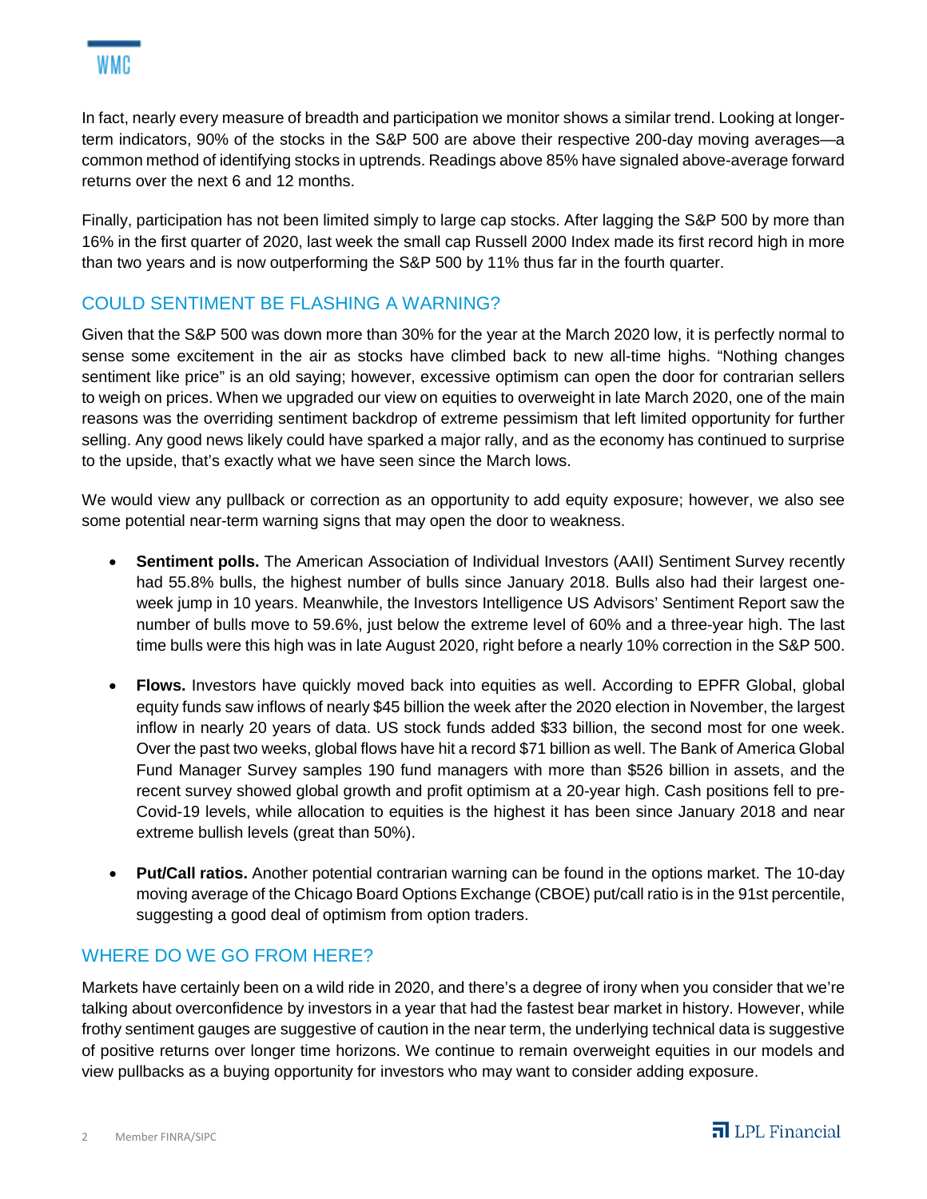In fact, nearly every measure of breadth and participation we monitor shows a similar trend. Looking at longerterm indicators, 90% of the stocks in the S&P 500 are above their respective 200-day moving averages—a common method of identifying stocks in uptrends. Readings above 85% have signaled above-average forward returns over the next 6 and 12 months.

Finally, participation has not been limited simply to large cap stocks. After lagging the S&P 500 by more than 16% in the first quarter of 2020, last week the small cap Russell 2000 Index made its first record high in more than two years and is now outperforming the S&P 500 by 11% thus far in the fourth quarter.

# COULD SENTIMENT BE FLASHING A WARNING?

Given that the S&P 500 was down more than 30% for the year at the March 2020 low, it is perfectly normal to sense some excitement in the air as stocks have climbed back to new all-time highs. "Nothing changes sentiment like price" is an old saying; however, excessive optimism can open the door for contrarian sellers to weigh on prices. When we upgraded our view on equities to overweight in late March 2020, one of the main reasons was the overriding sentiment backdrop of extreme pessimism that left limited opportunity for further selling. Any good news likely could have sparked a major rally, and as the economy has continued to surprise to the upside, that's exactly what we have seen since the March lows.

We would view any pullback or correction as an opportunity to add equity exposure; however, we also see some potential near-term warning signs that may open the door to weakness.

- **Sentiment polls.** The American Association of Individual Investors (AAII) Sentiment Survey recently had 55.8% bulls, the highest number of bulls since January 2018. Bulls also had their largest oneweek jump in 10 years. Meanwhile, the Investors Intelligence US Advisors' Sentiment Report saw the number of bulls move to 59.6%, just below the extreme level of 60% and a three-year high. The last time bulls were this high was in late August 2020, right before a nearly 10% correction in the S&P 500.
- **Flows.** Investors have quickly moved back into equities as well. According to EPFR Global, global equity funds saw inflows of nearly \$45 billion the week after the 2020 election in November, the largest inflow in nearly 20 years of data. US stock funds added \$33 billion, the second most for one week. Over the past two weeks, global flows have hit a record \$71 billion as well. The Bank of America Global Fund Manager Survey samples 190 fund managers with more than \$526 billion in assets, and the recent survey showed global growth and profit optimism at a 20-year high. Cash positions fell to pre-Covid-19 levels, while allocation to equities is the highest it has been since January 2018 and near extreme bullish levels (great than 50%).
- **Put/Call ratios.** Another potential contrarian warning can be found in the options market. The 10-day moving average of the Chicago Board Options Exchange (CBOE) put/call ratio is in the 91st percentile, suggesting a good deal of optimism from option traders.

### WHERE DO WE GO FROM HERE?

Markets have certainly been on a wild ride in 2020, and there's a degree of irony when you consider that we're talking about overconfidence by investors in a year that had the fastest bear market in history. However, while frothy sentiment gauges are suggestive of caution in the near term, the underlying technical data is suggestive of positive returns over longer time horizons. We continue to remain overweight equities in our models and view pullbacks as a buying opportunity for investors who may want to consider adding exposure.